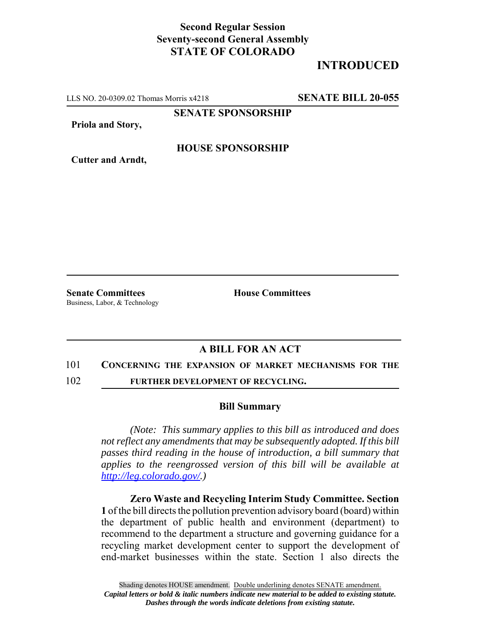## **Second Regular Session Seventy-second General Assembly STATE OF COLORADO**

# **INTRODUCED**

LLS NO. 20-0309.02 Thomas Morris x4218 **SENATE BILL 20-055**

**SENATE SPONSORSHIP**

**Priola and Story,**

### **HOUSE SPONSORSHIP**

**Cutter and Arndt,**

**Senate Committees House Committees** Business, Labor, & Technology

### **A BILL FOR AN ACT**

#### 101 **CONCERNING THE EXPANSION OF MARKET MECHANISMS FOR THE**

102 **FURTHER DEVELOPMENT OF RECYCLING.**

#### **Bill Summary**

*(Note: This summary applies to this bill as introduced and does not reflect any amendments that may be subsequently adopted. If this bill passes third reading in the house of introduction, a bill summary that applies to the reengrossed version of this bill will be available at http://leg.colorado.gov/.)*

**Zero Waste and Recycling Interim Study Committee. Section 1** of the bill directs the pollution prevention advisory board (board) within the department of public health and environment (department) to recommend to the department a structure and governing guidance for a recycling market development center to support the development of end-market businesses within the state. Section 1 also directs the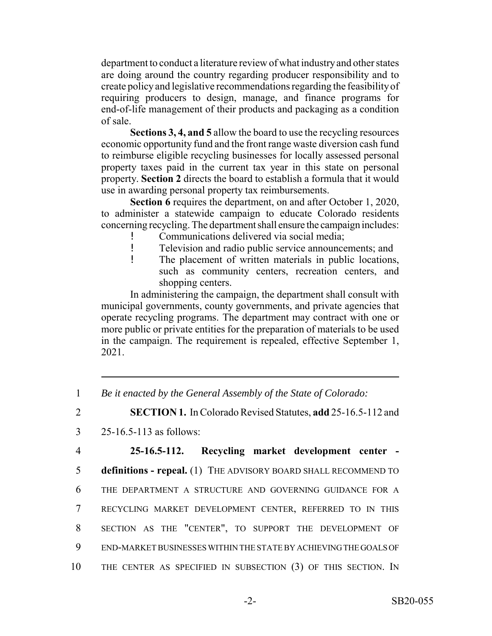department to conduct a literature review of what industry and other states are doing around the country regarding producer responsibility and to create policy and legislative recommendations regarding the feasibility of requiring producers to design, manage, and finance programs for end-of-life management of their products and packaging as a condition of sale.

**Sections 3, 4, and 5** allow the board to use the recycling resources economic opportunity fund and the front range waste diversion cash fund to reimburse eligible recycling businesses for locally assessed personal property taxes paid in the current tax year in this state on personal property. **Section 2** directs the board to establish a formula that it would use in awarding personal property tax reimbursements.

**Section 6** requires the department, on and after October 1, 2020, to administer a statewide campaign to educate Colorado residents concerning recycling. The department shall ensure the campaign includes:

- ! Communications delivered via social media;<br>! Television and radio public service announce
- Television and radio public service announcements; and
- ! The placement of written materials in public locations, such as community centers, recreation centers, and shopping centers.

In administering the campaign, the department shall consult with municipal governments, county governments, and private agencies that operate recycling programs. The department may contract with one or more public or private entities for the preparation of materials to be used in the campaign. The requirement is repealed, effective September 1, 2021.

- 1 *Be it enacted by the General Assembly of the State of Colorado:*
- 2 **SECTION 1.** In Colorado Revised Statutes, **add** 25-16.5-112 and
- 3 25-16.5-113 as follows:

 **25-16.5-112. Recycling market development center - definitions - repeal.** (1) THE ADVISORY BOARD SHALL RECOMMEND TO THE DEPARTMENT A STRUCTURE AND GOVERNING GUIDANCE FOR A RECYCLING MARKET DEVELOPMENT CENTER, REFERRED TO IN THIS SECTION AS THE "CENTER", TO SUPPORT THE DEVELOPMENT OF END-MARKET BUSINESSES WITHIN THE STATE BY ACHIEVING THE GOALS OF THE CENTER AS SPECIFIED IN SUBSECTION (3) OF THIS SECTION. IN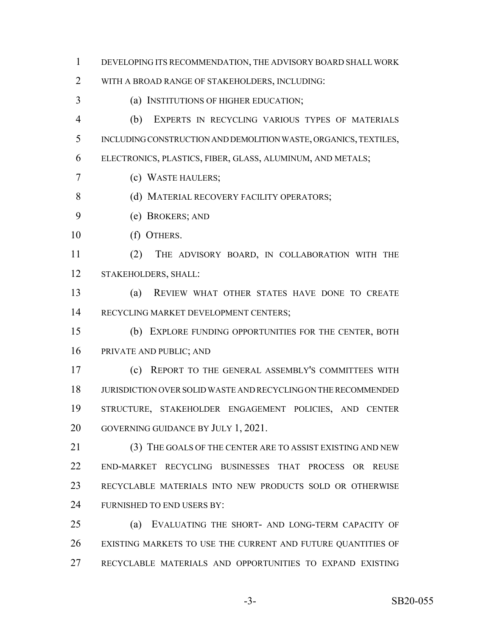DEVELOPING ITS RECOMMENDATION, THE ADVISORY BOARD SHALL WORK

WITH A BROAD RANGE OF STAKEHOLDERS, INCLUDING:

(a) INSTITUTIONS OF HIGHER EDUCATION;

 (b) EXPERTS IN RECYCLING VARIOUS TYPES OF MATERIALS INCLUDING CONSTRUCTION AND DEMOLITION WASTE, ORGANICS, TEXTILES,

ELECTRONICS, PLASTICS, FIBER, GLASS, ALUMINUM, AND METALS;

(c) WASTE HAULERS;

8 (d) MATERIAL RECOVERY FACILITY OPERATORS;

- (e) BROKERS; AND
- (f) OTHERS.

 (2) THE ADVISORY BOARD, IN COLLABORATION WITH THE STAKEHOLDERS, SHALL:

 (a) REVIEW WHAT OTHER STATES HAVE DONE TO CREATE RECYCLING MARKET DEVELOPMENT CENTERS;

 (b) EXPLORE FUNDING OPPORTUNITIES FOR THE CENTER, BOTH PRIVATE AND PUBLIC; AND

 (c) REPORT TO THE GENERAL ASSEMBLY'S COMMITTEES WITH JURISDICTION OVER SOLID WASTE AND RECYCLING ON THE RECOMMENDED STRUCTURE, STAKEHOLDER ENGAGEMENT POLICIES, AND CENTER GOVERNING GUIDANCE BY JULY 1, 2021.

 (3) THE GOALS OF THE CENTER ARE TO ASSIST EXISTING AND NEW END-MARKET RECYCLING BUSINESSES THAT PROCESS OR REUSE RECYCLABLE MATERIALS INTO NEW PRODUCTS SOLD OR OTHERWISE FURNISHED TO END USERS BY:

 (a) EVALUATING THE SHORT- AND LONG-TERM CAPACITY OF EXISTING MARKETS TO USE THE CURRENT AND FUTURE QUANTITIES OF RECYCLABLE MATERIALS AND OPPORTUNITIES TO EXPAND EXISTING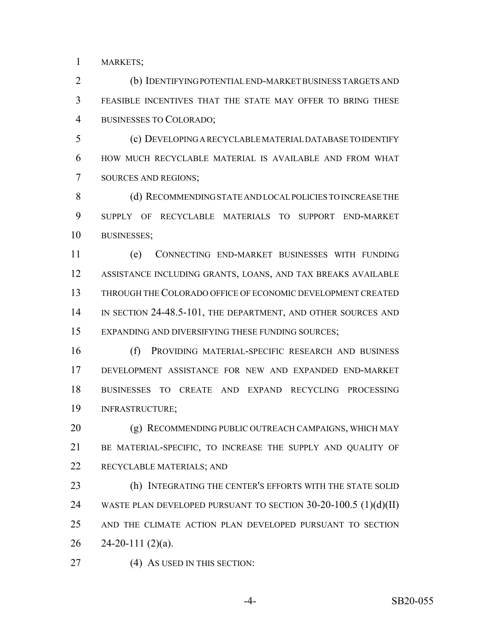MARKETS;

 (b) IDENTIFYING POTENTIAL END-MARKET BUSINESS TARGETS AND FEASIBLE INCENTIVES THAT THE STATE MAY OFFER TO BRING THESE BUSINESSES TO COLORADO;

 (c) DEVELOPING A RECYCLABLE MATERIAL DATABASE TO IDENTIFY HOW MUCH RECYCLABLE MATERIAL IS AVAILABLE AND FROM WHAT SOURCES AND REGIONS;

8 (d) RECOMMENDING STATE AND LOCAL POLICIES TO INCREASE THE SUPPLY OF RECYCLABLE MATERIALS TO SUPPORT END-MARKET BUSINESSES;

 (e) CONNECTING END-MARKET BUSINESSES WITH FUNDING ASSISTANCE INCLUDING GRANTS, LOANS, AND TAX BREAKS AVAILABLE THROUGH THE COLORADO OFFICE OF ECONOMIC DEVELOPMENT CREATED 14 IN SECTION 24-48.5-101, THE DEPARTMENT, AND OTHER SOURCES AND EXPANDING AND DIVERSIFYING THESE FUNDING SOURCES;

 (f) PROVIDING MATERIAL-SPECIFIC RESEARCH AND BUSINESS DEVELOPMENT ASSISTANCE FOR NEW AND EXPANDED END-MARKET BUSINESSES TO CREATE AND EXPAND RECYCLING PROCESSING INFRASTRUCTURE;

20 (g) RECOMMENDING PUBLIC OUTREACH CAMPAIGNS, WHICH MAY BE MATERIAL-SPECIFIC, TO INCREASE THE SUPPLY AND QUALITY OF RECYCLABLE MATERIALS; AND

 (h) INTEGRATING THE CENTER'S EFFORTS WITH THE STATE SOLID WASTE PLAN DEVELOPED PURSUANT TO SECTION 30-20-100.5 (1)(d)(II) AND THE CLIMATE ACTION PLAN DEVELOPED PURSUANT TO SECTION 26 24-20-111 (2)(a).

27 (4) AS USED IN THIS SECTION:

-4- SB20-055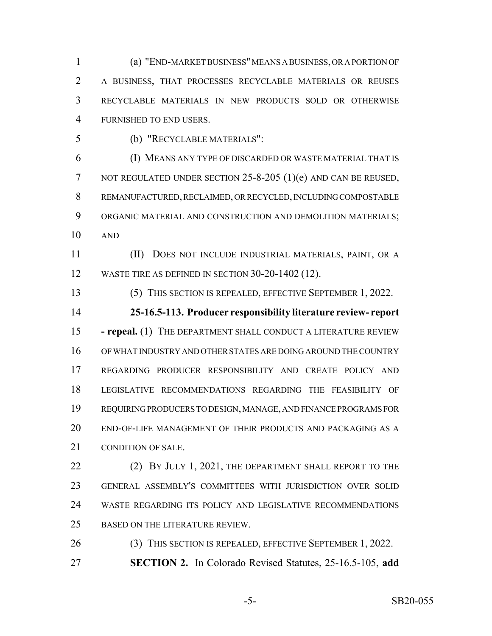(a) "END-MARKET BUSINESS" MEANS A BUSINESS, OR A PORTION OF A BUSINESS, THAT PROCESSES RECYCLABLE MATERIALS OR REUSES RECYCLABLE MATERIALS IN NEW PRODUCTS SOLD OR OTHERWISE FURNISHED TO END USERS.

(b) "RECYCLABLE MATERIALS":

 (I) MEANS ANY TYPE OF DISCARDED OR WASTE MATERIAL THAT IS 7 NOT REGULATED UNDER SECTION 25-8-205 (1)(e) AND CAN BE REUSED, REMANUFACTURED, RECLAIMED, OR RECYCLED, INCLUDING COMPOSTABLE 9 ORGANIC MATERIAL AND CONSTRUCTION AND DEMOLITION MATERIALS; AND

 (II) DOES NOT INCLUDE INDUSTRIAL MATERIALS, PAINT, OR A 12 WASTE TIRE AS DEFINED IN SECTION 30-20-1402 (12).

(5) THIS SECTION IS REPEALED, EFFECTIVE SEPTEMBER 1, 2022.

 **25-16.5-113. Producer responsibility literature review- report - repeal.** (1) THE DEPARTMENT SHALL CONDUCT A LITERATURE REVIEW OF WHAT INDUSTRY AND OTHER STATES ARE DOING AROUND THE COUNTRY REGARDING PRODUCER RESPONSIBILITY AND CREATE POLICY AND LEGISLATIVE RECOMMENDATIONS REGARDING THE FEASIBILITY OF REQUIRING PRODUCERS TO DESIGN, MANAGE, AND FINANCE PROGRAMS FOR END-OF-LIFE MANAGEMENT OF THEIR PRODUCTS AND PACKAGING AS A CONDITION OF SALE.

22 (2) BY JULY 1, 2021, THE DEPARTMENT SHALL REPORT TO THE GENERAL ASSEMBLY'S COMMITTEES WITH JURISDICTION OVER SOLID WASTE REGARDING ITS POLICY AND LEGISLATIVE RECOMMENDATIONS BASED ON THE LITERATURE REVIEW.

 (3) THIS SECTION IS REPEALED, EFFECTIVE SEPTEMBER 1, 2022. **SECTION 2.** In Colorado Revised Statutes, 25-16.5-105, **add**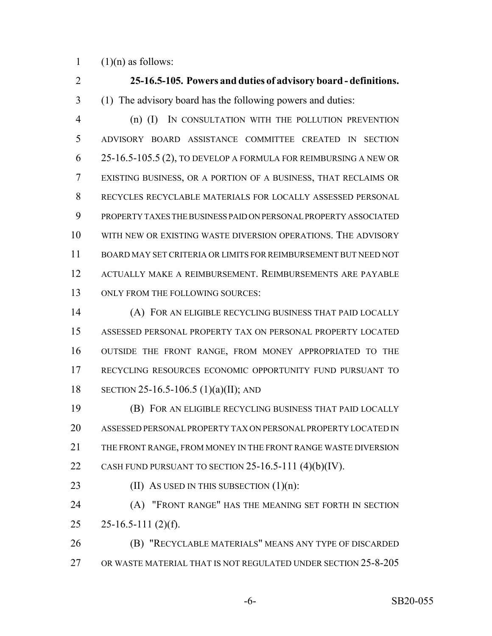1  $(1)(n)$  as follows:

 **25-16.5-105. Powers and duties of advisory board - definitions.** (1) The advisory board has the following powers and duties: (n) (I) IN CONSULTATION WITH THE POLLUTION PREVENTION ADVISORY BOARD ASSISTANCE COMMITTEE CREATED IN SECTION 25-16.5-105.5 (2), TO DEVELOP A FORMULA FOR REIMBURSING A NEW OR EXISTING BUSINESS, OR A PORTION OF A BUSINESS, THAT RECLAIMS OR RECYCLES RECYCLABLE MATERIALS FOR LOCALLY ASSESSED PERSONAL PROPERTY TAXES THE BUSINESS PAID ON PERSONAL PROPERTY ASSOCIATED WITH NEW OR EXISTING WASTE DIVERSION OPERATIONS. THE ADVISORY BOARD MAY SET CRITERIA OR LIMITS FOR REIMBURSEMENT BUT NEED NOT ACTUALLY MAKE A REIMBURSEMENT. REIMBURSEMENTS ARE PAYABLE 13 ONLY FROM THE FOLLOWING SOURCES: (A) FOR AN ELIGIBLE RECYCLING BUSINESS THAT PAID LOCALLY ASSESSED PERSONAL PROPERTY TAX ON PERSONAL PROPERTY LOCATED OUTSIDE THE FRONT RANGE, FROM MONEY APPROPRIATED TO THE RECYCLING RESOURCES ECONOMIC OPPORTUNITY FUND PURSUANT TO SECTION 25-16.5-106.5 (1)(a)(II); AND (B) FOR AN ELIGIBLE RECYCLING BUSINESS THAT PAID LOCALLY ASSESSED PERSONAL PROPERTY TAX ON PERSONAL PROPERTY LOCATED IN THE FRONT RANGE, FROM MONEY IN THE FRONT RANGE WASTE DIVERSION 22 CASH FUND PURSUANT TO SECTION 25-16.5-111 (4)(b)(IV). 23 (II) As USED IN THIS SUBSECTION  $(1)(n)$ : (A) "FRONT RANGE" HAS THE MEANING SET FORTH IN SECTION 25 25-16.5-111 (2)(f). (B) "RECYCLABLE MATERIALS" MEANS ANY TYPE OF DISCARDED OR WASTE MATERIAL THAT IS NOT REGULATED UNDER SECTION 25-8-205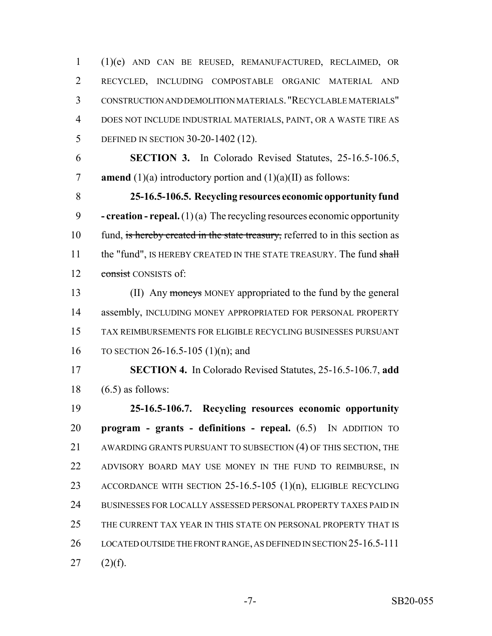(1)(e) AND CAN BE REUSED, REMANUFACTURED, RECLAIMED, OR RECYCLED, INCLUDING COMPOSTABLE ORGANIC MATERIAL AND CONSTRUCTION AND DEMOLITION MATERIALS. "RECYCLABLE MATERIALS" DOES NOT INCLUDE INDUSTRIAL MATERIALS, PAINT, OR A WASTE TIRE AS DEFINED IN SECTION 30-20-1402 (12).

 **SECTION 3.** In Colorado Revised Statutes, 25-16.5-106.5, **amend** (1)(a) introductory portion and (1)(a)(II) as follows:

 **25-16.5-106.5. Recycling resources economic opportunity fund - creation - repeal.** (1) (a) The recycling resources economic opportunity 10 fund, is hereby created in the state treasury, referred to in this section as 11 the "fund", IS HEREBY CREATED IN THE STATE TREASURY. The fund shall 12 consist CONSISTS of:

13 (II) Any moneys MONEY appropriated to the fund by the general 14 assembly, INCLUDING MONEY APPROPRIATED FOR PERSONAL PROPERTY TAX REIMBURSEMENTS FOR ELIGIBLE RECYCLING BUSINESSES PURSUANT TO SECTION 26-16.5-105 (1)(n); and

 **SECTION 4.** In Colorado Revised Statutes, 25-16.5-106.7, **add** 18  $(6.5)$  as follows:

 **25-16.5-106.7. Recycling resources economic opportunity program - grants - definitions - repeal.** (6.5) IN ADDITION TO AWARDING GRANTS PURSUANT TO SUBSECTION (4) OF THIS SECTION, THE ADVISORY BOARD MAY USE MONEY IN THE FUND TO REIMBURSE, IN ACCORDANCE WITH SECTION 25-16.5-105 (1)(n), ELIGIBLE RECYCLING BUSINESSES FOR LOCALLY ASSESSED PERSONAL PROPERTY TAXES PAID IN THE CURRENT TAX YEAR IN THIS STATE ON PERSONAL PROPERTY THAT IS LOCATED OUTSIDE THE FRONT RANGE, AS DEFINED IN SECTION 25-16.5-111 (2)(f).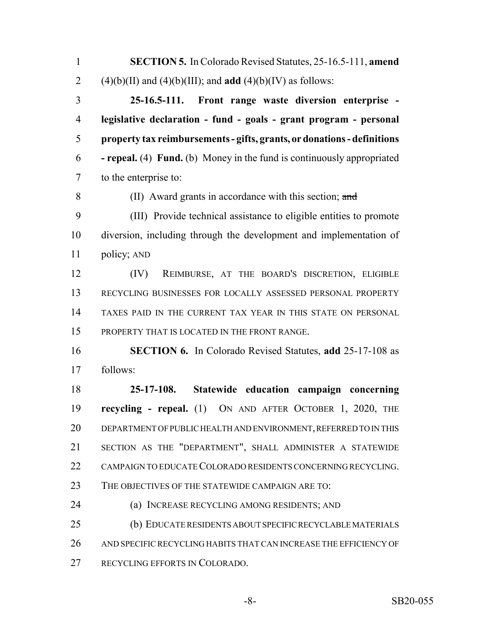**SECTION 5.** In Colorado Revised Statutes, 25-16.5-111, **amend** 2 (4)(b)(II) and (4)(b)(III); and **add** (4)(b)(IV) as follows:

 **25-16.5-111. Front range waste diversion enterprise - legislative declaration - fund - goals - grant program - personal property tax reimbursements - gifts, grants, or donations - definitions - repeal.** (4) **Fund.** (b) Money in the fund is continuously appropriated to the enterprise to:

(II) Award grants in accordance with this section; and

 (III) Provide technical assistance to eligible entities to promote diversion, including through the development and implementation of policy; AND

 (IV) REIMBURSE, AT THE BOARD'S DISCRETION, ELIGIBLE RECYCLING BUSINESSES FOR LOCALLY ASSESSED PERSONAL PROPERTY TAXES PAID IN THE CURRENT TAX YEAR IN THIS STATE ON PERSONAL PROPERTY THAT IS LOCATED IN THE FRONT RANGE.

 **SECTION 6.** In Colorado Revised Statutes, **add** 25-17-108 as follows:

 **25-17-108. Statewide education campaign concerning recycling - repeal.** (1) ON AND AFTER OCTOBER 1, 2020, THE DEPARTMENT OF PUBLIC HEALTH AND ENVIRONMENT, REFERRED TO IN THIS SECTION AS THE "DEPARTMENT", SHALL ADMINISTER A STATEWIDE CAMPAIGN TO EDUCATE COLORADO RESIDENTS CONCERNING RECYCLING.

THE OBJECTIVES OF THE STATEWIDE CAMPAIGN ARE TO:

(a) INCREASE RECYCLING AMONG RESIDENTS; AND

 (b) EDUCATE RESIDENTS ABOUT SPECIFIC RECYCLABLE MATERIALS AND SPECIFIC RECYCLING HABITS THAT CAN INCREASE THE EFFICIENCY OF RECYCLING EFFORTS IN COLORADO.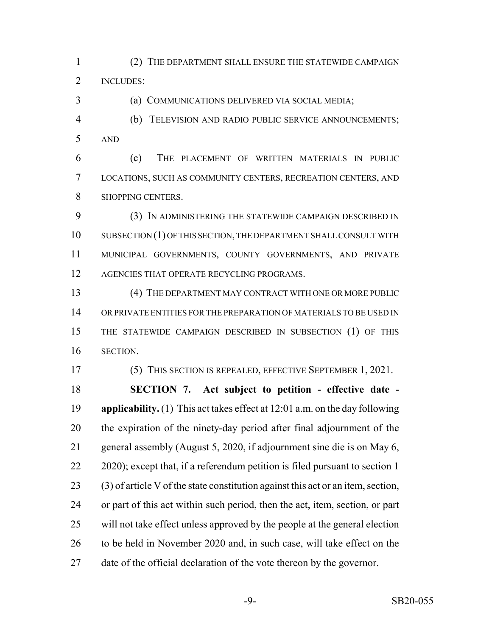(2) THE DEPARTMENT SHALL ENSURE THE STATEWIDE CAMPAIGN 2 INCLUDES:

(a) COMMUNICATIONS DELIVERED VIA SOCIAL MEDIA;

 (b) TELEVISION AND RADIO PUBLIC SERVICE ANNOUNCEMENTS; AND

 (c) THE PLACEMENT OF WRITTEN MATERIALS IN PUBLIC LOCATIONS, SUCH AS COMMUNITY CENTERS, RECREATION CENTERS, AND SHOPPING CENTERS.

 (3) IN ADMINISTERING THE STATEWIDE CAMPAIGN DESCRIBED IN SUBSECTION (1) OF THIS SECTION, THE DEPARTMENT SHALL CONSULT WITH MUNICIPAL GOVERNMENTS, COUNTY GOVERNMENTS, AND PRIVATE 12 AGENCIES THAT OPERATE RECYCLING PROGRAMS.

 (4) THE DEPARTMENT MAY CONTRACT WITH ONE OR MORE PUBLIC OR PRIVATE ENTITIES FOR THE PREPARATION OF MATERIALS TO BE USED IN THE STATEWIDE CAMPAIGN DESCRIBED IN SUBSECTION (1) OF THIS SECTION.

(5) THIS SECTION IS REPEALED, EFFECTIVE SEPTEMBER 1, 2021.

 **SECTION 7. Act subject to petition - effective date - applicability.** (1) This act takes effect at 12:01 a.m. on the day following the expiration of the ninety-day period after final adjournment of the general assembly (August 5, 2020, if adjournment sine die is on May 6, 22 2020); except that, if a referendum petition is filed pursuant to section 1 (3) of article V of the state constitution against this act or an item, section, or part of this act within such period, then the act, item, section, or part will not take effect unless approved by the people at the general election to be held in November 2020 and, in such case, will take effect on the date of the official declaration of the vote thereon by the governor.